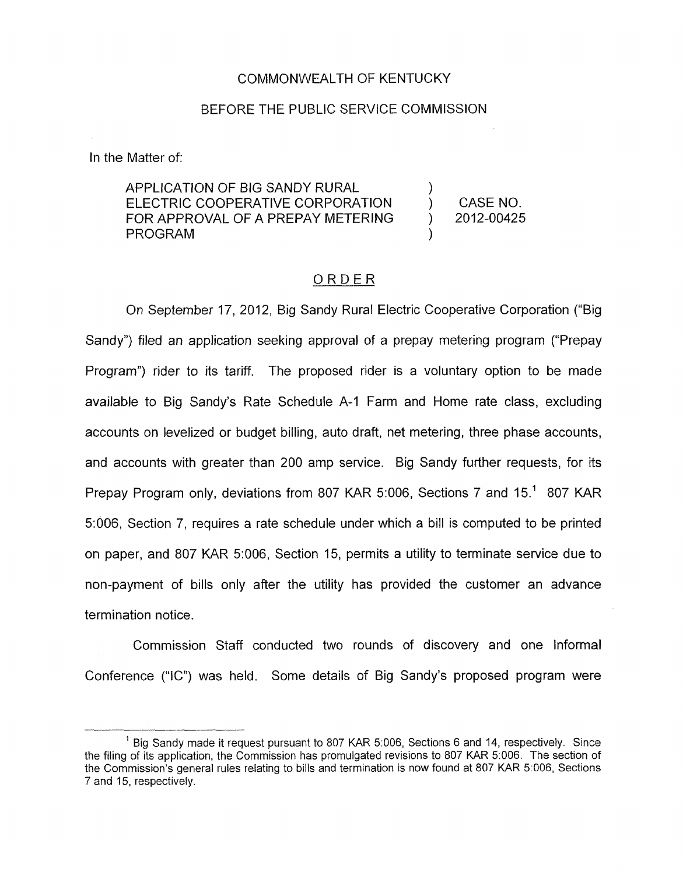## COMMONWEALTH OF KENTUCKY

#### BEFORE THE PUBLIC SERVICE COMMISSION

In the Matter of:

APPLICATION OF BIG SANDY RURAL ELECTRIC COOPERATIVE CORPORATION ) CASENO. FOR APPROVAL OF A PREPAY METERING ) 2012-00425 **PROGRAM** 

# ORDER

On September 17, 2012, Big Sandy Rural Electric Cooperative Corporation ("Big Sandy") filed an application seeking approval of a prepay metering program ("Prepay Program") rider to its tariff. The proposed rider is a voluntary option to be made available to Big Sandy's Rate Schedule A-I Farm and Home rate class, excluding accounts on levelized or budget billing, auto draft, net metering, three phase accounts, and accounts with greater than 200 amp service. Big Sandy further requests, for its Prepay Program only, deviations from 807 KAR 5:006, Sections 7 and 15.' 807 KAR 5:006, Section 7, requires a rate schedule under which a bill is computed to be printed on paper, and 807 KAR 5:006, Section 15, permits a utility to terminate service due to non-payment of bills only after the utility has provided the customer an advance termination notice.

Commission Staff conducted two rounds of discovery and one Informal Conference ("IC") was held. Some details of Big Sandy's proposed program were

<sup>&</sup>lt;sup>1</sup> Big Sandy made it request pursuant to 807 KAR 5:006, Sections 6 and 14, respectively. Since the filing of its application, the Commission has promulgated revisions to 807 KAR 5.006. The section of the Commission's general rules relating to bills and termination is now found at 807 KAR 5:006, Sections 7 and 15, respectively.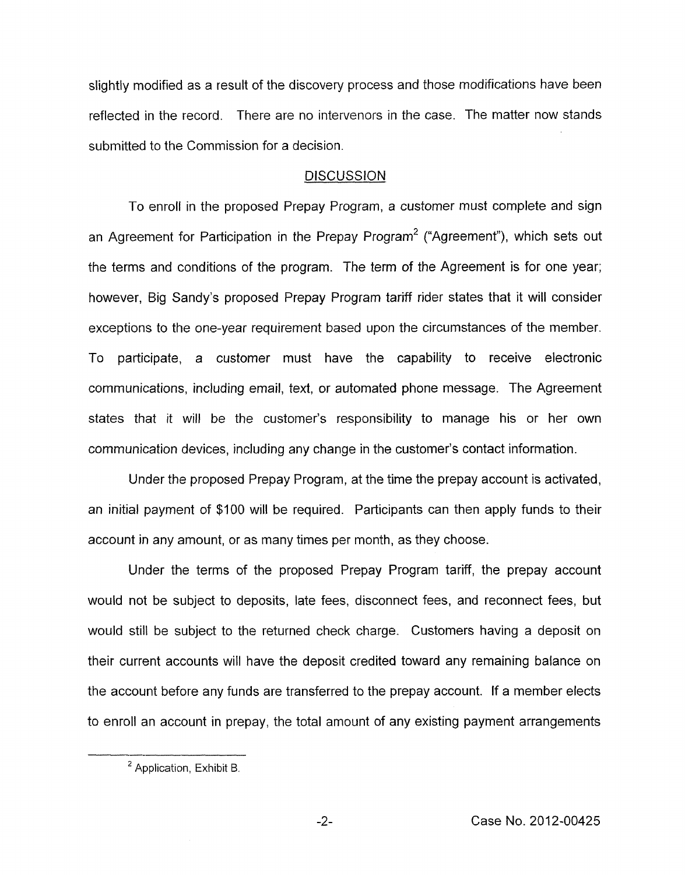slightly modified as a result of the discovery process and those modifications have been reflected in the record. There are no intervenors in the case. The matter now stands submitted to the Commission for a decision.

## **DISCUSSION**

To enroll in the proposed Prepay Program, a customer must complete and sign an Agreement for Participation in the Prepay Program<sup>2</sup> ("Agreement"), which sets out the terms and conditions of the program. The term of the Agreement is for one year; however, Big Sandy's proposed Prepay Program tariff rider states that it will consider exceptions to the one-year requirement based upon the circumstances of the member. To participate, a customer must have the capability to receive electronic communications, including email, text, or automated phone message. The Agreement states that it will be the customer's responsibility to manage his or her own communication devices, including any change in the customer's contact information.

Under the proposed Prepay Program, at the time the prepay account is activated, an initial payment of \$100 will be required. Participants can then apply funds to their account in any amount, or as many times per month, as they choose.

Under the terms of the proposed Prepay Program tariff, the prepay account would not be subject to deposits, late fees, disconnect fees, and reconnect fees, but would still be subject to the returned check charge. Customers having a deposit on their current accounts will have the deposit credited toward any remaining balance on the account before any funds are transferred to the prepay account. If a member elects to enroll an account in prepay, the total amount of any existing payment arrangements

<sup>&</sup>lt;sup>2</sup> Application, Exhibit B.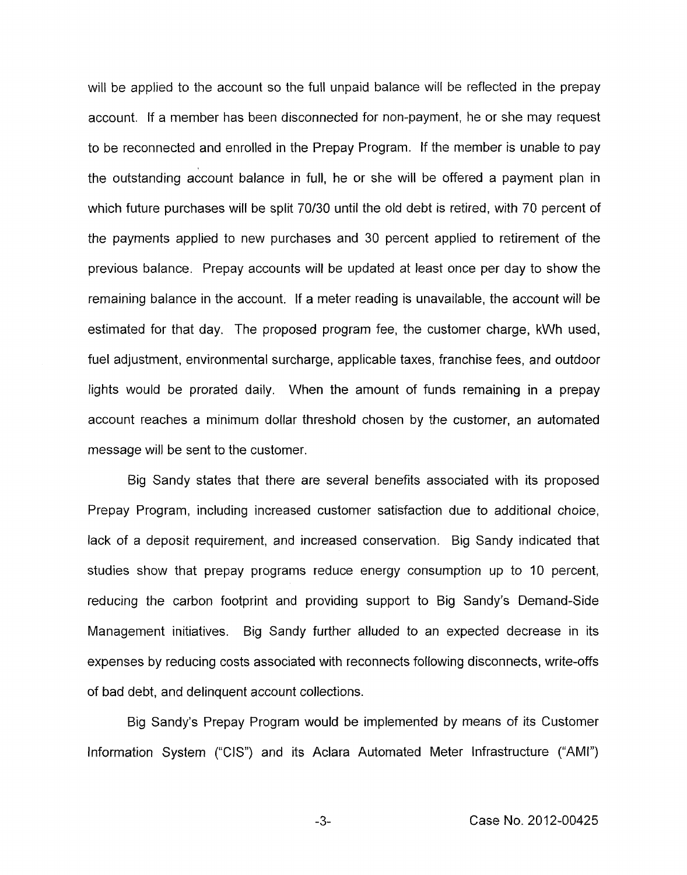will be applied to the account so the full unpaid balance will be reflected in the prepay account. If a member has been disconnected for non-payment, he or she may request to be reconnected and enrolled in the Prepay Program. If the member is unable to pay the outstanding account balance in full, he or she will be offered a payment plan in which future purchases will be split 70/30 until the old debt is retired, with 70 percent of the payments applied to new purchases and 30 percent applied to retirement of the previous balance. Prepay accounts will be updated at least once per day to show the remaining balance in the account. If a meter reading is unavailable, the account will be estimated for that day. The proposed program fee, the customer charge, kWh used, fuel adjustment, environmental surcharge, applicable taxes, franchise fees, and outdoor lights would be prorated daily. When the amount of funds remaining in a prepay account reaches a minimum dollar threshold chosen by the customer, an automated message will be sent to the customer.

Big Sandy states that there are several benefits associated with its proposed Prepay Program, including increased customer satisfaction due to additional choice, lack of a deposit requirement, and increased conservation. Big Sandy indicated that studies show that prepay programs reduce energy consumption up to IO percent, reducing the carbon footprint and providing support to Big Sandy's Demand-Side Management initiatives. Big Sandy further alluded to an expected decrease in its expenses by reducing costs associated with reconnects following disconnects, write-offs of bad debt, and delinquent account collections.

Big Sandy's Prepay Program would be implemented by means of its Customer Information System ("CIS') and its Aclara Automated Meter Infrastructure ("AMI")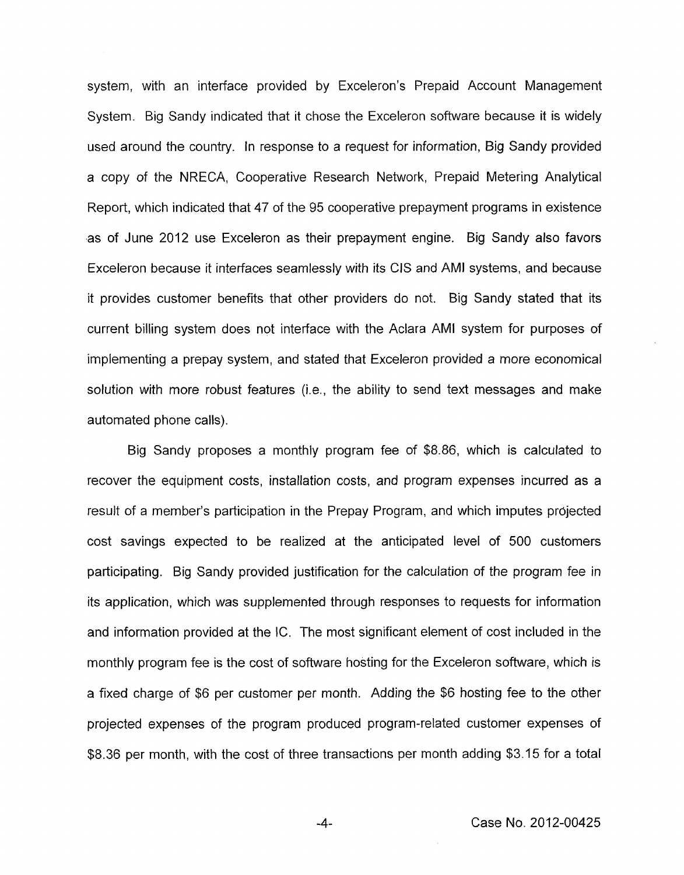system, with an interface provided by Exceleron's Prepaid Account Management System. Big Sandy indicated that it chose the Exceleron software because it is widely used around the country. In response to a request for information, Big Sandy provided a copy of the NRECA, Cooperative Research Network, Prepaid Metering Analytical Report, which indicated that 47 of the 95 cooperative prepayment programs in existence as of June 2012 use Exceleron as their prepayment engine. Big Sandy also favors Exceleron because it interfaces seamlessly with its CIS and AMI systems, and because it provides customer benefits that other providers do not. Big Sandy stated that its current billing system does not interface with the Aclara AMI system for purposes of implementing a prepay system, and stated that Exceleron provided a more economical solution with more robust features (i.e., the ability to send text messages and make automated phone calls).

Big Sandy proposes a monthly program fee of *\$8.86,* which is calculated to recover the equipment costs, installation costs, and program expenses incurred as a result of a member's participation in the Prepay Program, and which imputes projected cost savings expected to be realized at the anticipated level of 500 customers participating. Big Sandy provided justification for the calculation of the program fee in its application, which was supplemented through responses to requests for information and information provided at the IC. The most significant element of cost included in the monthly program fee is the cost of software hosting for the Exceleron software, which *is*  a fixed charge of \$6 per customer per month. Adding the \$6 hosting fee to the other projected expenses of the program produced program-related customer expenses of *\$8.36* per month, with the cost of three transactions per month adding \$3.15 for a total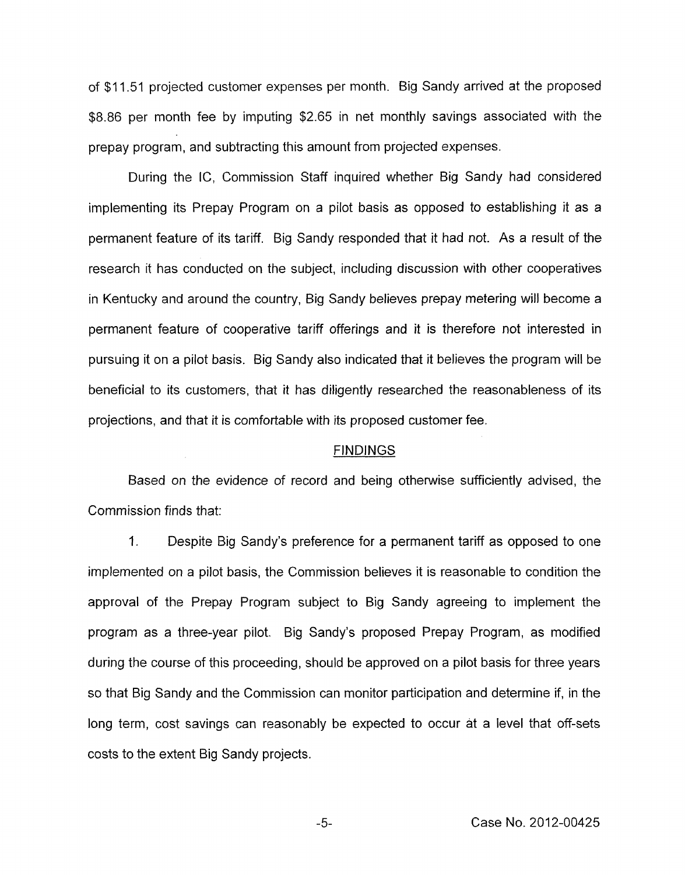of \$1 1.51 projected customer expenses per month. Big Sandy arrived at the proposed \$8.86 per month fee by imputing \$2.65 in net monthly savings associated with the prepay program, and subtracting this amount from projected expenses.

During the IC, Commission Staff inquired whether Big Sandy had considered implementing its Prepay Program on a pilot basis as opposed to establishing it as a permanent feature of its tariff. Big Sandy responded that it had not. As a result of the research it has conducted on the subject, including discussion with other cooperatives in Kentucky and around the country, Big Sandy believes prepay metering will become a permanent feature of cooperative tariff offerings and it is therefore not interested in pursuing it on a pilot basis. Big Sandy also indicated that it believes the program will be beneficial to its customers, that it has diligently researched the reasonableness of its projections, and that it is comfortable with its proposed customer fee.

#### FINDINGS

Based on the evidence of record and being otherwise sufficiently advised, the Commission finds that:

1. Despite Big Sandy's preference for a permanent tariff as opposed to one implemented on a pilot basis, the Commission believes it is reasonable to condition the approval of the Prepay Program subject to Big Sandy agreeing to implement the program as a three-year pilot. Big Sandy's proposed Prepay Program, as modified during the course of this proceeding, should be approved on a pilot basis for three years so that Big Sandy and the Commission can monitor participation and determine if, in the long term, cost savings can reasonably be expected to occur at a level that off-sets costs to the extent Big Sandy projects.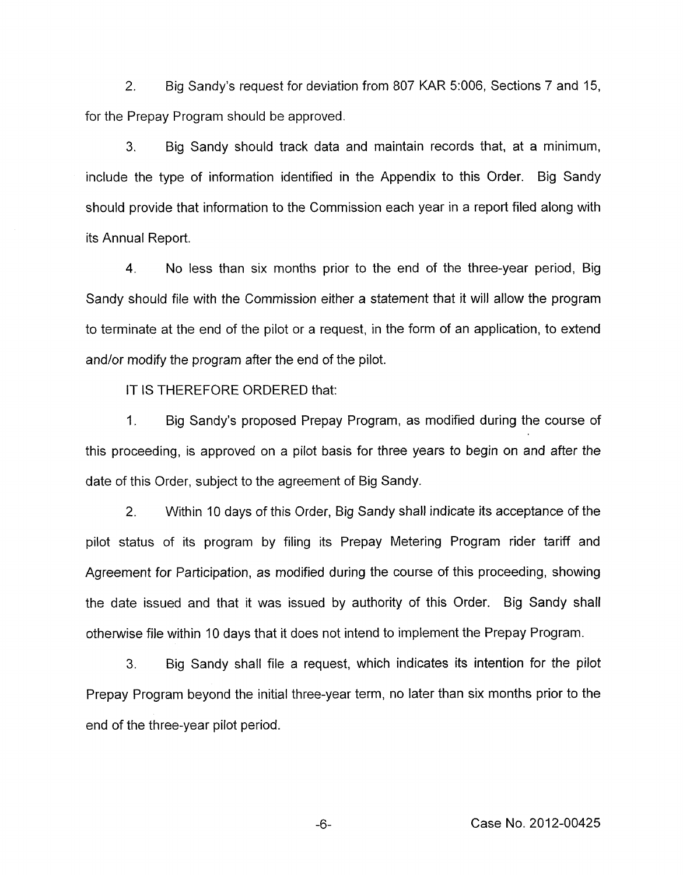2. Big Sandy's request for deviation from 807 KAR 5:006, Sections 7 and 15, for the Prepay Program should be approved.

**3.** Big Sandy should track data and maintain records that, at a minimum, include the type of information identified in the Appendix to this Order. Big Sandy should provide that information to the Commission each year in a report filed along with its Annual Report.

4. No less than six months prior to the end of the three-year period, Big Sandy should file with the Commission either a statement that it will allow the program to terminate at the end of the pilot or a request, in the form of an application, to extend and/or modify the program after the end of the pilot.

IT IS THEREFORE ORDERED that:

1. Big Sandy's proposed Prepay Program, as modified during the course of this proceeding, is approved on a pilot basis for three years to begin on and after the date of this Order, subject to the agreement of Big Sandy.

2. Within 10 days of this Order, Big Sandy shall indicate its acceptance of the pilot status of its program by filing its Prepay Metering Program rider tariff and Agreement for Participation, as modified during the course of this proceeding, showing the date issued and that it was issued by authority of this Order. Big Sandy shall otherwise file within 10 days that it does not intend to implement the Prepay Program.

**3.** Big Sandy shall file a request, which indicates its intention for the pilot Prepay Program beyond the initial three-year term, no later than six months prior to the end of the three-year pilot period.

-6- Case **No.** 2012-00425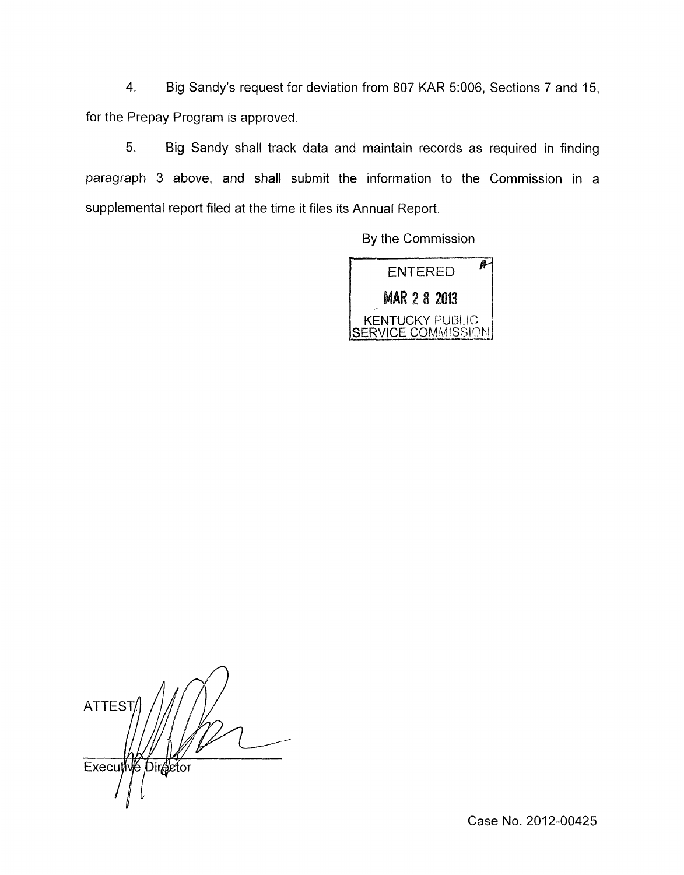4. Big Sandy's request for deviation from 807 KAR 5:006, Sections 7 and 15, for the Prepay Program is approved.

*5.* Big Sandy shall track data and maintain records as required in finding paragraph 3 above, and shall submit the information to the Commission in a supplemental report filed at the time it files its Annual Report.

By the Commission



**ATTEST** Executive Director

Case No. 2012-00425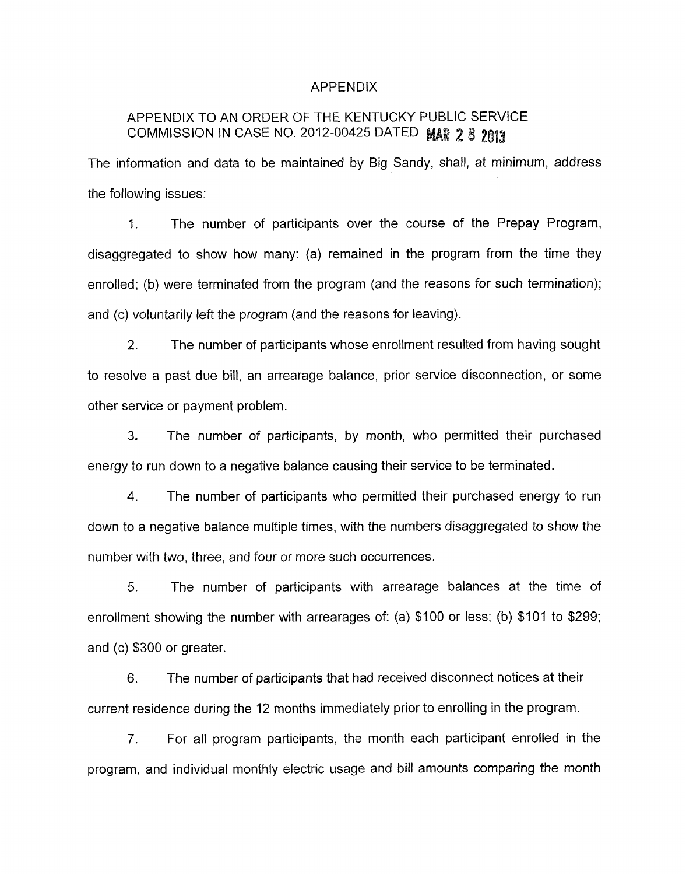## APPENDIX

# APPENDIX TO AN ORDER OF THE KENTUCKY PUBLIC SERVICE COMMISSION IN CASE NO. 2012-00425 DATED MAR 2 8 2013

The information and data to be maintained by Big Sandy, shall, at minimum, address the following issues:

1. The number of participants over the course of the Prepay Program, disaggregated to show how many: (a) remained in the program from the time they enrolled; (b) were terminated from the program (and the reasons for such termination); and (c) voluntarily left the program (and the reasons for leaving).

2. The number of participants whose enrollment resulted from having sought to resolve a past due bill, an arrearage balance, prior service disconnection, or some other service or payment problem.

**3.** The number of participants, by month, who permitted their purchased energy to run down to a negative balance causing their service to be terminated.

4. The number of participants who permitted their purchased energy to run down to a negative balance multiple times, with the numbers disaggregated to show the number with two, three, and four or more such occurrences.

*5.* The number of participants with arrearage balances at the time of enrollment showing the number with arrearages of: (a) \$100 or less; (b) \$101 to \$299; and (c) \$300 or greater.

6. The number of participants that had received disconnect notices at their current residence during the 12 months immediately prior to enrolling in the program.

*7.* For all program participants, the month each participant enrolled in the program, and individual monthly electric usage and bill amounts comparing the month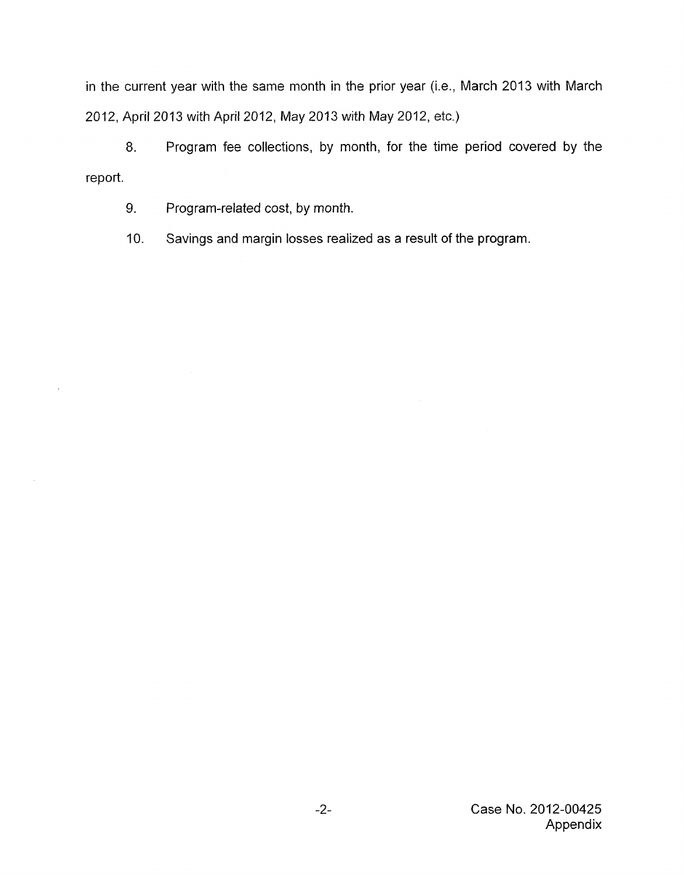in the current year with the same month in the prior year (i.e., March 2013 with March 2012, April 2013 with April 2012, May 2013 with May 2012, etc.)

*8.* Program fee collections, by month, for the time period covered by the report.

9. Program-related cost, by month.

IO. Savings and margin losses realized as a result of the program.